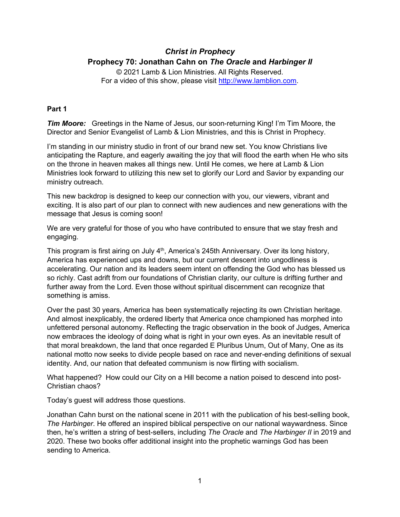# *Christ in Prophecy* **Prophecy 70: Jonathan Cahn on** *The Oracle* **and** *Harbinger II*

© 2021 Lamb & Lion Ministries. All Rights Reserved. For a video of this show, please visit [http://www.lamblion.com.](http://www.lamblion.com/)

# **Part 1**

*Tim Moore:* Greetings in the Name of Jesus, our soon-returning King! I'm Tim Moore, the Director and Senior Evangelist of Lamb & Lion Ministries, and this is Christ in Prophecy.

I'm standing in our ministry studio in front of our brand new set. You know Christians live anticipating the Rapture, and eagerly awaiting the joy that will flood the earth when He who sits on the throne in heaven makes all things new. Until He comes, we here at Lamb & Lion Ministries look forward to utilizing this new set to glorify our Lord and Savior by expanding our ministry outreach.

This new backdrop is designed to keep our connection with you, our viewers, vibrant and exciting. It is also part of our plan to connect with new audiences and new generations with the message that Jesus is coming soon!

We are very grateful for those of you who have contributed to ensure that we stay fresh and engaging.

This program is first airing on July 4<sup>th</sup>, America's 245th Anniversary. Over its long history, America has experienced ups and downs, but our current descent into ungodliness is accelerating. Our nation and its leaders seem intent on offending the God who has blessed us so richly. Cast adrift from our foundations of Christian clarity, our culture is drifting further and further away from the Lord. Even those without spiritual discernment can recognize that something is amiss.

Over the past 30 years, America has been systematically rejecting its own Christian heritage. And almost inexplicably, the ordered liberty that America once championed has morphed into unfettered personal autonomy. Reflecting the tragic observation in the book of Judges, America now embraces the ideology of doing what is right in your own eyes. As an inevitable result of that moral breakdown, the land that once regarded E Pluribus Unum, Out of Many, One as its national motto now seeks to divide people based on race and never-ending definitions of sexual identity. And, our nation that defeated communism is now flirting with socialism.

What happened? How could our City on a Hill become a nation poised to descend into post-Christian chaos?

Today's guest will address those questions.

Jonathan Cahn burst on the national scene in 2011 with the publication of his best-selling book, *The Harbinger*. He offered an inspired biblical perspective on our national waywardness. Since then, he's written a string of best-sellers, including *The Oracle* and *The Harbinger II* in 2019 and 2020. These two books offer additional insight into the prophetic warnings God has been sending to America.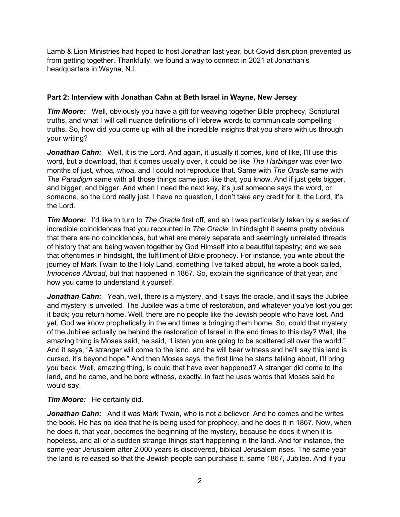Lamb & Lion Ministries had hoped to host Jonathan last year, but Covid disruption prevented us from getting together. Thankfully, we found a way to connect in 2021 at Jonathan's headquarters in Wayne, NJ.

# **Part 2: Interview with Jonathan Cahn at Beth Israel in Wayne, New Jersey**

*Tim Moore:* Well, obviously you have a gift for weaving together Bible prophecy, Scriptural truths, and what I will call nuance definitions of Hebrew words to communicate compelling truths. So, how did you come up with all the incredible insights that you share with us through your writing?

**Jonathan Cahn:** Well, it is the Lord. And again, it usually it comes, kind of like, I'll use this word, but a download, that it comes usually over, it could be like *The Harbinger* was over two months of just, whoa, whoa, and I could not reproduce that. Same with *The Oracle* same with *The Paradigm* same with all those things came just like that, you know. And if just gets bigger, and bigger, and bigger. And when I need the next key, it's just someone says the word, or someone, so the Lord really just, I have no question, I don't take any credit for it, the Lord, it's the Lord.

*Tim Moore:* I'd like to turn to *The Oracle* first off, and so I was particularly taken by a series of incredible coincidences that you recounted in *The Oracle*. In hindsight it seems pretty obvious that there are no coincidences, but what are merely separate and seemingly unrelated threads of history that are being woven together by God Himself into a beautiful tapestry; and we see that oftentimes in hindsight, the fulfillment of Bible prophecy. For instance, you write about the journey of Mark Twain to the Holy Land, something I've talked about, he wrote a book called, *Innocence Abroad*, but that happened in 1867. So, explain the significance of that year, and how you came to understand it yourself.

*Jonathan Cahn:* Yeah, well, there is a mystery, and it says the oracle, and it says the Jubilee and mystery is unveiled. The Jubilee was a time of restoration, and whatever you've lost you get it back; you return home. Well, there are no people like the Jewish people who have lost. And yet, God we know prophetically in the end times is bringing them home. So, could that mystery of the Jubilee actually be behind the restoration of Israel in the end times to this day? Well, the amazing thing is Moses said, he said, "Listen you are going to be scattered all over the world." And it says, "A stranger will come to the land, and he will bear witness and he'll say this land is cursed, it's beyond hope." And then Moses says, the first time he starts talking about, I'll bring you back. Well, amazing thing, is could that have ever happened? A stranger did come to the land, and he came, and he bore witness, exactly, in fact he uses words that Moses said he would say.

# *Tim Moore:* He certainly did.

*Jonathan Cahn:* And it was Mark Twain, who is not a believer. And he comes and he writes the book. He has no idea that he is being used for prophecy, and he does it in 1867. Now, when he does it, that year, becomes the beginning of the mystery, because he does it when it is hopeless, and all of a sudden strange things start happening in the land. And for instance, the same year Jerusalem after 2,000 years is discovered, biblical Jerusalem rises. The same year the land is released so that the Jewish people can purchase it, same 1867, Jubilee. And if you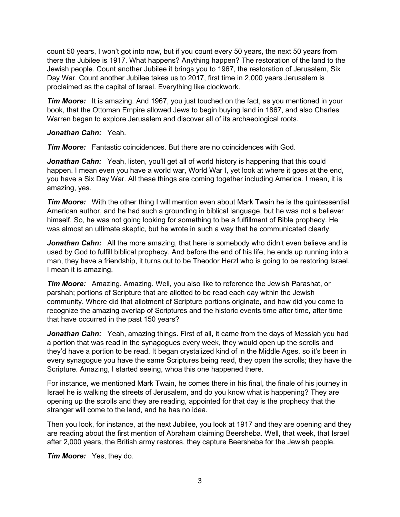count 50 years, I won't got into now, but if you count every 50 years, the next 50 years from there the Jubilee is 1917. What happens? Anything happen? The restoration of the land to the Jewish people. Count another Jubilee it brings you to 1967, the restoration of Jerusalem, Six Day War. Count another Jubilee takes us to 2017, first time in 2,000 years Jerusalem is proclaimed as the capital of Israel. Everything like clockwork.

*Tim Moore:* It is amazing. And 1967, you just touched on the fact, as you mentioned in your book, that the Ottoman Empire allowed Jews to begin buying land in 1867, and also Charles Warren began to explore Jerusalem and discover all of its archaeological roots.

### *Jonathan Cahn:* Yeah.

*Tim Moore:* Fantastic coincidences. But there are no coincidences with God.

**Jonathan Cahn:** Yeah, listen, you'll get all of world history is happening that this could happen. I mean even you have a world war, World War I, yet look at where it goes at the end, you have a Six Day War. All these things are coming together including America. I mean, it is amazing, yes.

*Tim Moore:* With the other thing I will mention even about Mark Twain he is the quintessential American author, and he had such a grounding in biblical language, but he was not a believer himself. So, he was not going looking for something to be a fulfillment of Bible prophecy. He was almost an ultimate skeptic, but he wrote in such a way that he communicated clearly.

**Jonathan Cahn:** All the more amazing, that here is somebody who didn't even believe and is used by God to fulfill biblical prophecy. And before the end of his life, he ends up running into a man, they have a friendship, it turns out to be Theodor Herzl who is going to be restoring Israel. I mean it is amazing.

*Tim Moore:* Amazing. Amazing. Well, you also like to reference the Jewish Parashat, or parshah; portions of Scripture that are allotted to be read each day within the Jewish community. Where did that allotment of Scripture portions originate, and how did you come to recognize the amazing overlap of Scriptures and the historic events time after time, after time that have occurred in the past 150 years?

**Jonathan Cahn:** Yeah, amazing things. First of all, it came from the days of Messiah you had a portion that was read in the synagogues every week, they would open up the scrolls and they'd have a portion to be read. It began crystalized kind of in the Middle Ages, so it's been in every synagogue you have the same Scriptures being read, they open the scrolls; they have the Scripture. Amazing, I started seeing, whoa this one happened there.

For instance, we mentioned Mark Twain, he comes there in his final, the finale of his journey in Israel he is walking the streets of Jerusalem, and do you know what is happening? They are opening up the scrolls and they are reading, appointed for that day is the prophecy that the stranger will come to the land, and he has no idea.

Then you look, for instance, at the next Jubilee, you look at 1917 and they are opening and they are reading about the first mention of Abraham claiming Beersheba. Well, that week, that Israel after 2,000 years, the British army restores, they capture Beersheba for the Jewish people.

*Tim Moore:* Yes, they do.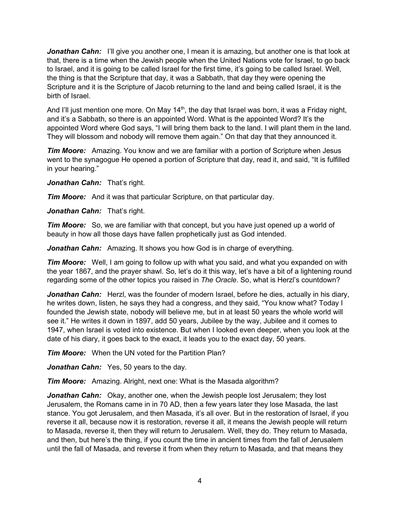**Jonathan Cahn:** I'll give you another one, I mean it is amazing, but another one is that look at that, there is a time when the Jewish people when the United Nations vote for Israel, to go back to Israel, and it is going to be called Israel for the first time, it's going to be called Israel. Well, the thing is that the Scripture that day, it was a Sabbath, that day they were opening the Scripture and it is the Scripture of Jacob returning to the land and being called Israel, it is the birth of Israel.

And I'll just mention one more. On May 14<sup>th</sup>, the day that Israel was born, it was a Friday night, and it's a Sabbath, so there is an appointed Word. What is the appointed Word? It's the appointed Word where God says, "I will bring them back to the land. I will plant them in the land. They will blossom and nobody will remove them again." On that day that they announced it.

*Tim Moore:* Amazing. You know and we are familiar with a portion of Scripture when Jesus went to the synagogue He opened a portion of Scripture that day, read it, and said, "It is fulfilled in your hearing."

*Jonathan Cahn:* That's right.

*Tim Moore:* And it was that particular Scripture, on that particular day.

*Jonathan Cahn:* That's right.

*Tim Moore:* So, we are familiar with that concept, but you have just opened up a world of beauty in how all those days have fallen prophetically just as God intended.

*Jonathan Cahn:* Amazing. It shows you how God is in charge of everything.

*Tim Moore:* Well, I am going to follow up with what you said, and what you expanded on with the year 1867, and the prayer shawl. So, let's do it this way, let's have a bit of a lightening round regarding some of the other topics you raised in *The Oracle*. So, what is Herzl's countdown?

*Jonathan Cahn:* Herzl, was the founder of modern Israel, before he dies, actually in his diary, he writes down, listen, he says they had a congress, and they said, "You know what? Today I founded the Jewish state, nobody will believe me, but in at least 50 years the whole world will see it." He writes it down in 1897, add 50 years, Jubilee by the way, Jubilee and it comes to 1947, when Israel is voted into existence. But when I looked even deeper, when you look at the date of his diary, it goes back to the exact, it leads you to the exact day, 50 years.

*Tim Moore:* When the UN voted for the Partition Plan?

*Jonathan Cahn:* Yes, 50 years to the day.

*Tim Moore:* Amazing. Alright, next one: What is the Masada algorithm?

*Jonathan Cahn:* Okay, another one, when the Jewish people lost Jerusalem; they lost Jerusalem, the Romans came in in 70 AD, then a few years later they lose Masada, the last stance. You got Jerusalem, and then Masada, it's all over. But in the restoration of Israel, if you reverse it all, because now it is restoration, reverse it all, it means the Jewish people will return to Masada, reverse it, then they will return to Jerusalem. Well, they do. They return to Masada, and then, but here's the thing, if you count the time in ancient times from the fall of Jerusalem until the fall of Masada, and reverse it from when they return to Masada, and that means they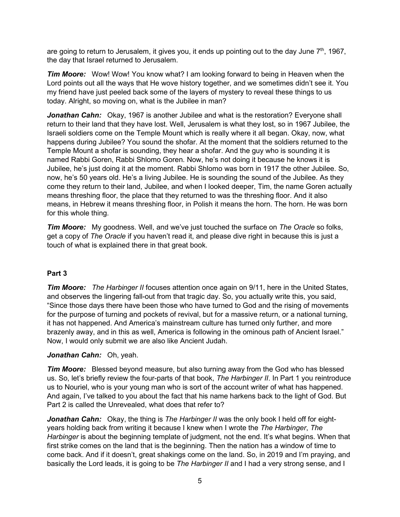are going to return to Jerusalem, it gives you, it ends up pointing out to the day June  $7<sup>th</sup>$ , 1967, the day that Israel returned to Jerusalem.

*Tim Moore:* Wow! Wow! You know what? I am looking forward to being in Heaven when the Lord points out all the ways that He wove history together, and we sometimes didn't see it. You my friend have just peeled back some of the layers of mystery to reveal these things to us today. Alright, so moving on, what is the Jubilee in man?

*Jonathan Cahn:* Okay, 1967 is another Jubilee and what is the restoration? Everyone shall return to their land that they have lost. Well, Jerusalem is what they lost, so in 1967 Jubilee, the Israeli soldiers come on the Temple Mount which is really where it all began. Okay, now, what happens during Jubilee? You sound the shofar. At the moment that the soldiers returned to the Temple Mount a shofar is sounding, they hear a shofar. And the guy who is sounding it is named Rabbi Goren, Rabbi Shlomo Goren. Now, he's not doing it because he knows it is Jubilee, he's just doing it at the moment. Rabbi Shlomo was born in 1917 the other Jubilee. So, now, he's 50 years old. He's a living Jubilee. He is sounding the sound of the Jubilee. As they come they return to their land, Jubilee, and when I looked deeper, Tim, the name Goren actually means threshing floor, the place that they returned to was the threshing floor. And it also means, in Hebrew it means threshing floor, in Polish it means the horn. The horn. He was born for this whole thing.

*Tim Moore:* My goodness. Well, and we've just touched the surface on *The Oracle* so folks, get a copy of *The Oracle* if you haven't read it, and please dive right in because this is just a touch of what is explained there in that great book.

# **Part 3**

**Tim Moore:** The Harbinger II focuses attention once again on 9/11, here in the United States, and observes the lingering fall-out from that tragic day. So, you actually write this, you said, "Since those days there have been those who have turned to God and the rising of movements for the purpose of turning and pockets of revival, but for a massive return, or a national turning, it has not happened. And America's mainstream culture has turned only further, and more brazenly away, and in this as well, America is following in the ominous path of Ancient Israel." Now, I would only submit we are also like Ancient Judah.

# *Jonathan Cahn:* Oh, yeah.

*Tim Moore:* Blessed beyond measure, but also turning away from the God who has blessed us. So, let's briefly review the four-parts of that book, *The Harbinger II*. In Part 1 you reintroduce us to Nouriel, who is your young man who is sort of the account writer of what has happened. And again, I've talked to you about the fact that his name harkens back to the light of God. But Part 2 is called the Unrevealed, what does that refer to?

**Jonathan Cahn:** Okay, the thing is *The Harbinger II* was the only book I held off for eightyears holding back from writing it because I knew when I wrote the *The Harbinger*, *The Harbinger* is about the beginning template of judgment, not the end. It's what begins. When that first strike comes on the land that is the beginning. Then the nation has a window of time to come back. And if it doesn't, great shakings come on the land. So, in 2019 and I'm praying, and basically the Lord leads, it is going to be *The Harbinger II* and I had a very strong sense, and I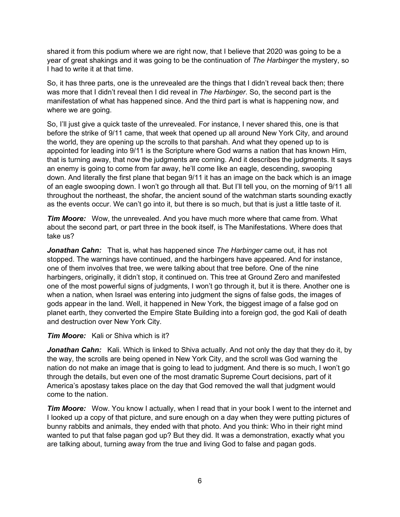shared it from this podium where we are right now, that I believe that 2020 was going to be a year of great shakings and it was going to be the continuation of *The Harbinger* the mystery, so I had to write it at that time.

So, it has three parts, one is the unrevealed are the things that I didn't reveal back then; there was more that I didn't reveal then I did reveal in *The Harbinger*. So, the second part is the manifestation of what has happened since. And the third part is what is happening now, and where we are going.

So, I'll just give a quick taste of the unrevealed. For instance, I never shared this, one is that before the strike of 9/11 came, that week that opened up all around New York City, and around the world, they are opening up the scrolls to that parshah. And what they opened up to is appointed for leading into 9/11 is the Scripture where God warns a nation that has known Him, that is turning away, that now the judgments are coming. And it describes the judgments. It says an enemy is going to come from far away, he'll come like an eagle, descending, swooping down. And literally the first plane that began 9/11 it has an image on the back which is an image of an eagle swooping down. I won't go through all that. But I'll tell you, on the morning of 9/11 all throughout the northeast, the shofar, the ancient sound of the watchman starts sounding exactly as the events occur. We can't go into it, but there is so much, but that is just a little taste of it.

*Tim Moore:* Wow, the unrevealed. And you have much more where that came from. What about the second part, or part three in the book itself, is The Manifestations. Where does that take us?

*Jonathan Cahn:* That is, what has happened since *The Harbinger* came out, it has not stopped. The warnings have continued, and the harbingers have appeared. And for instance, one of them involves that tree, we were talking about that tree before. One of the nine harbingers, originally, it didn't stop, it continued on. This tree at Ground Zero and manifested one of the most powerful signs of judgments, I won't go through it, but it is there. Another one is when a nation, when Israel was entering into judgment the signs of false gods, the images of gods appear in the land. Well, it happened in New York, the biggest image of a false god on planet earth, they converted the Empire State Building into a foreign god, the god Kali of death and destruction over New York City.

#### *Tim Moore:* Kali or Shiva which is it?

*Jonathan Cahn:* Kali. Which is linked to Shiva actually. And not only the day that they do it, by the way, the scrolls are being opened in New York City, and the scroll was God warning the nation do not make an image that is going to lead to judgment. And there is so much, I won't go through the details, but even one of the most dramatic Supreme Court decisions, part of it America's apostasy takes place on the day that God removed the wall that judgment would come to the nation.

**Tim Moore:** Wow. You know I actually, when I read that in your book I went to the internet and I looked up a copy of that picture, and sure enough on a day when they were putting pictures of bunny rabbits and animals, they ended with that photo. And you think: Who in their right mind wanted to put that false pagan god up? But they did. It was a demonstration, exactly what you are talking about, turning away from the true and living God to false and pagan gods.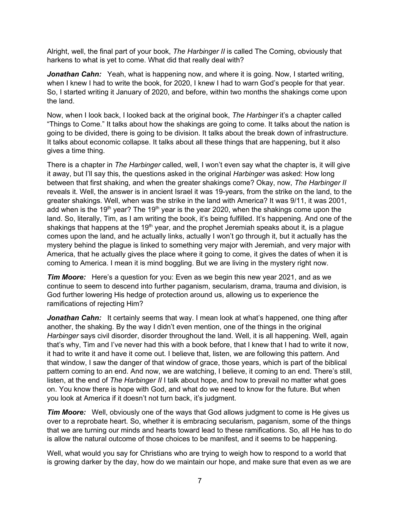Alright, well, the final part of your book, *The Harbinger II* is called The Coming, obviously that harkens to what is yet to come. What did that really deal with?

*Jonathan Cahn:* Yeah, what is happening now, and where it is going. Now, I started writing, when I knew I had to write the book, for 2020, I knew I had to warn God's people for that year. So, I started writing it January of 2020, and before, within two months the shakings come upon the land.

Now, when I look back, I looked back at the original book, *The Harbinger* it's a chapter called "Things to Come." It talks about how the shakings are going to come. It talks about the nation is going to be divided, there is going to be division. It talks about the break down of infrastructure. It talks about economic collapse. It talks about all these things that are happening, but it also gives a time thing.

There is a chapter in *The Harbinger* called, well, I won't even say what the chapter is, it will give it away, but I'll say this, the questions asked in the original *Harbinger* was asked: How long between that first shaking, and when the greater shakings come? Okay, now, *The Harbinger II* reveals it. Well, the answer is in ancient Israel it was 19-years, from the strike on the land, to the greater shakings. Well, when was the strike in the land with America? It was 9/11, it was 2001, add when is the 19<sup>th</sup> year? The 19<sup>th</sup> year is the year 2020, when the shakings come upon the land. So, literally, Tim, as I am writing the book, it's being fulfilled. It's happening. And one of the shakings that happens at the 19<sup>th</sup> year, and the prophet Jeremiah speaks about it, is a plague comes upon the land, and he actually links, actually I won't go through it, but it actually has the mystery behind the plague is linked to something very major with Jeremiah, and very major with America, that he actually gives the place where it going to come, it gives the dates of when it is coming to America. I mean it is mind boggling. But we are living in the mystery right now.

*Tim Moore:* Here's a question for you: Even as we begin this new year 2021, and as we continue to seem to descend into further paganism, secularism, drama, trauma and division, is God further lowering His hedge of protection around us, allowing us to experience the ramifications of rejecting Him?

**Jonathan Cahn:** It certainly seems that way. I mean look at what's happened, one thing after another, the shaking. By the way I didn't even mention, one of the things in the original *Harbinger* says civil disorder, disorder throughout the land. Well, it is all happening. Well, again that's why, Tim and I've never had this with a book before, that I knew that I had to write it now, it had to write it and have it come out. I believe that, listen, we are following this pattern. And that window, I saw the danger of that window of grace, those years, which is part of the biblical pattern coming to an end. And now, we are watching, I believe, it coming to an end. There's still, listen, at the end of *The Harbinger II* I talk about hope, and how to prevail no matter what goes on. You know there is hope with God, and what do we need to know for the future. But when you look at America if it doesn't not turn back, it's judgment.

*Tim Moore:* Well, obviously one of the ways that God allows judgment to come is He gives us over to a reprobate heart. So, whether it is embracing secularism, paganism, some of the things that we are turning our minds and hearts toward lead to these ramifications. So, all He has to do is allow the natural outcome of those choices to be manifest, and it seems to be happening.

Well, what would you say for Christians who are trying to weigh how to respond to a world that is growing darker by the day, how do we maintain our hope, and make sure that even as we are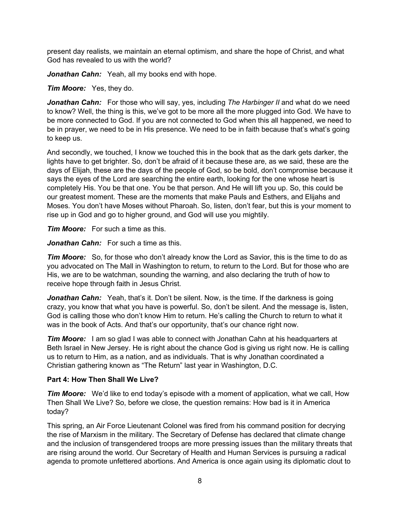present day realists, we maintain an eternal optimism, and share the hope of Christ, and what God has revealed to us with the world?

*Jonathan Cahn:* Yeah, all my books end with hope.

*Tim Moore:* Yes, they do.

*Jonathan Cahn:* For those who will say, yes, including *The Harbinger II* and what do we need to know? Well, the thing is this, we've got to be more all the more plugged into God. We have to be more connected to God. If you are not connected to God when this all happened, we need to be in prayer, we need to be in His presence. We need to be in faith because that's what's going to keep us.

And secondly, we touched, I know we touched this in the book that as the dark gets darker, the lights have to get brighter. So, don't be afraid of it because these are, as we said, these are the days of Elijah, these are the days of the people of God, so be bold, don't compromise because it says the eyes of the Lord are searching the entire earth, looking for the one whose heart is completely His. You be that one. You be that person. And He will lift you up. So, this could be our greatest moment. These are the moments that make Pauls and Esthers, and Elijahs and Moses. You don't have Moses without Pharoah. So, listen, don't fear, but this is your moment to rise up in God and go to higher ground, and God will use you mightily.

*Tim Moore:* For such a time as this.

*Jonathan Cahn:* For such a time as this.

*Tim Moore:* So, for those who don't already know the Lord as Savior, this is the time to do as you advocated on The Mall in Washington to return, to return to the Lord. But for those who are His, we are to be watchman, sounding the warning, and also declaring the truth of how to receive hope through faith in Jesus Christ.

**Jonathan Cahn:** Yeah, that's it. Don't be silent. Now, is the time. If the darkness is going crazy, you know that what you have is powerful. So, don't be silent. And the message is, listen, God is calling those who don't know Him to return. He's calling the Church to return to what it was in the book of Acts. And that's our opportunity, that's our chance right now.

*Tim Moore:* I am so glad I was able to connect with Jonathan Cahn at his headquarters at Beth Israel in New Jersey. He is right about the chance God is giving us right now. He is calling us to return to Him, as a nation, and as individuals. That is why Jonathan coordinated a Christian gathering known as "The Return" last year in Washington, D.C.

# **Part 4: How Then Shall We Live?**

*Tim Moore:* We'd like to end today's episode with a moment of application, what we call, How Then Shall We Live? So, before we close, the question remains: How bad is it in America today?

This spring, an Air Force Lieutenant Colonel was fired from his command position for decrying the rise of Marxism in the military. The Secretary of Defense has declared that climate change and the inclusion of transgendered troops are more pressing issues than the military threats that are rising around the world. Our Secretary of Health and Human Services is pursuing a radical agenda to promote unfettered abortions. And America is once again using its diplomatic clout to